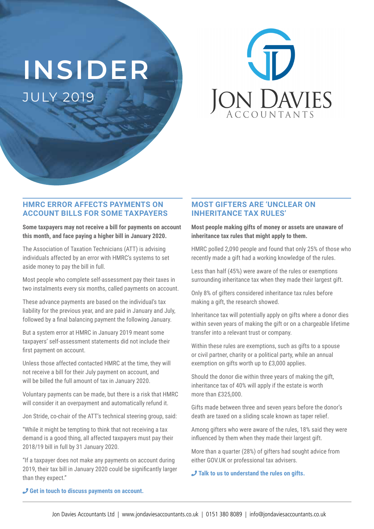# **INSIDER** JULY 2019



#### **HMRC ERROR AFFECTS PAYMENTS ON ACCOUNT BILLS FOR SOME TAXPAYERS**

**Some taxpayers may not receive a bill for payments on account this month, and face paying a higher bill in January 2020.**

The Association of Taxation Technicians (ATT) is advising individuals affected by an error with HMRC's systems to set aside money to pay the bill in full.

Most people who complete self-assessment pay their taxes in two instalments every six months, called payments on account.

These advance payments are based on the individual's tax liability for the previous year, and are paid in January and July, followed by a final balancing payment the following January.

But a system error at HMRC in January 2019 meant some taxpayers' self-assessment statements did not include their first payment on account.

Unless those affected contacted HMRC at the time, they will not receive a bill for their July payment on account, and will be billed the full amount of tax in January 2020.

Voluntary payments can be made, but there is a risk that HMRC will consider it an overpayment and automatically refund it.

Jon Stride, co-chair of the ATT's technical steering group, said:

"While it might be tempting to think that not receiving a tax demand is a good thing, all affected taxpayers must pay their 2018/19 bill in full by 31 January 2020.

"If a taxpayer does not make any payments on account during 2019, their tax bill in January 2020 could be significantly larger than they expect."

## **MOST GIFTERS ARE 'UNCLEAR ON INHERITANCE TAX RULES'**

**Most people making gifts of money or assets are unaware of inheritance tax rules that might apply to them.**

HMRC polled 2,090 people and found that only 25% of those who recently made a gift had a working knowledge of the rules.

Less than half (45%) were aware of the rules or exemptions surrounding inheritance tax when they made their largest gift.

Only 8% of gifters considered inheritance tax rules before making a gift, the research showed.

Inheritance tax will potentially apply on gifts where a donor dies within seven years of making the gift or on a chargeable lifetime transfer into a relevant trust or company.

Within these rules are exemptions, such as gifts to a spouse or civil partner, charity or a political party, while an annual exemption on gifts worth up to £3,000 applies.

Should the donor die within three years of making the gift, inheritance tax of 40% will apply if the estate is worth more than £325,000.

Gifts made between three and seven years before the donor's death are taxed on a sliding scale known as taper relief.

Among gifters who were aware of the rules, 18% said they were influenced by them when they made their largest gift.

More than a quarter (28%) of gifters had sought advice from either GOV.UK or professional tax advisers.

¶ **Talk to us to understand the rules on gifts.**

¶ **Get in touch to discuss payments on account.**